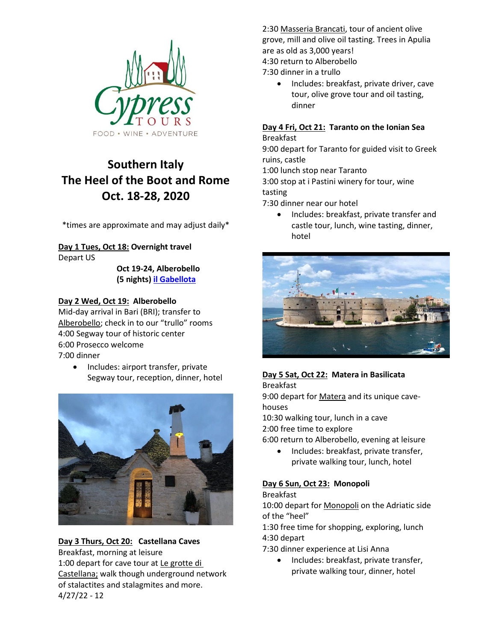

# **Southern Italy The Heel of the Boot and Rome Oct. 18-28, 2020**

\*times are approximate and may adjust daily\*

**Day 1 Tues, Oct 18: Overnight travel** Depart US

> **Oct 19-24, Alberobello (5 nights) [il Gabellota](https://www.ilgabellota.it/servizi?lang=en)**

#### **Day 2 Wed, Oct 19: Alberobello**

Mid-day arrival in Bari (BRI); transfer to [Alberobello](https://alberobellotourism.com/); check in to our "trullo" rooms 4:00 Segway tour of historic center 6:00 Prosecco welcome 7:00 dinner

• Includes: airport transfer, private Segway tour, reception, dinner, hotel



#### 4/27/22 - 12 **Day 3 Thurs, Oct 20: Castellana Caves** Breakfast, morning at leisure 1:00 depart for cave tour at [Le grotte di](http://www.grottedicastellana.it/le-grotte/)  [Castellana;](http://www.grottedicastellana.it/le-grotte/) walk though underground network of stalactites and stalagmites and more.

2:30 [Masseria Brancati,](https://www.tripadvisor.com/Attraction_Review-g642178-d2390691-Reviews-Masseria_Brancati-Ostuni_Province_of_Brindisi_Puglia.html) tour of ancient olive grove, mill and olive oil tasting. Trees in Apulia are as old as 3,000 years!

4:30 return to Alberobello

7:30 dinner in a trullo

• Includes: breakfast, private driver, cave tour, olive grove tour and oil tasting, dinner

# **Day 4 Fri, Oct 21: Taranto on the Ionian Sea**

Breakfast

9:00 depart for Taranto for guided visit to Greek ruins, castle

1:00 lunch stop near Taranto

3:00 stop at i Pastini winery for tour, wine tasting

7:30 dinner near our hotel

• Includes: breakfast, private transfer and castle tour, lunch, wine tasting, dinner, hotel



# **Day 5 Sat, Oct 22: Matera in Basilicata**

Breakfast

9:00 depart for [Matera](https://www.google.com/search?tbm=isch&sa=1&ei=7s5ZXKLMAY2JjwSuz5L4Bw&q=images+of+matera&oq=images+of+matera&gs_l=img.3..0l2.43397.44180..44553...0.0..0.119.630.1j5....2..1....1..gws-wiz-img.nELh3zF1iYM) and its unique cavehouses

10:30 walking tour, lunch in a cave 2:00 free time to explore

6:00 return to Alberobello, evening at leisure

• Includes: breakfast, private transfer, private walking tour, lunch, hotel

## **Day 6 Sun, Oct 23: Monopoli**

#### Breakfast

10:00 depart for [Monopoli](https://images.search.yahoo.com/search/images;_ylt=Awr9ImJ4YuJeGIgATh9XNyoA;_ylu=X3oDMTByNWU4cGh1BGNvbG8DZ3ExBHBvcwMxBHZ0aWQDBHNlYwNzYw--?p=images+of+monopoli&fr=mcafee) on the Adriatic side of the "heel"

1:30 free time for shopping, exploring, lunch 4:30 depart

7:30 dinner experience at Lisi Anna

• Includes: breakfast, private transfer, private walking tour, dinner, hotel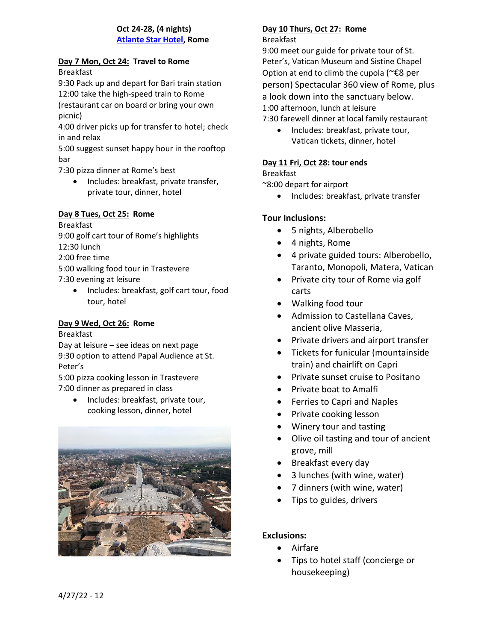### **Oct 24-28, (4 nights) [Atlante Star Hotel,](http://www.atlantestarhotel.com/) Rome**

#### **Day 7 Mon, Oct 24: Travel to Rome** Breakfast

9:30 Pack up and depart for Bari train station 12:00 take the high-speed train to Rome (restaurant car on board or bring your own picnic)

4:00 driver picks up for transfer to hotel; check in and relax

5:00 suggest sunset happy hour in the rooftop bar

7:30 pizza dinner at Rome's best

• Includes: breakfast, private transfer, private tour, dinner, hotel

# **Day 8 Tues, Oct 25: Rome**

Breakfast 9:00 golf cart tour of Rome's highlights 12:30 lunch 2:00 free time 5:00 walking food tour in Trastevere 7:30 evening at leisure

• Includes: breakfast, golf cart tour, food tour, hotel

# **Day 9 Wed, Oct 26: Rome**

Breakfast Day at leisure – see ideas on next page 9:30 option to attend Papal Audience at St. Peter's

5:00 pizza cooking lesson in Trastevere 7:00 dinner as prepared in class

> • Includes: breakfast, private tour, cooking lesson, dinner, hotel



# **Day 10 Thurs, Oct 27: Rome**

#### Breakfast

9:00 meet our guide for private tour of St. Peter's, Vatican Museum and Sistine Chapel Option at end to climb the cupola (~€8 per person) Spectacular 360 view of Rome, plus a look down into the sanctuary below. 1:00 afternoon, lunch at leisure

7:30 farewell dinner at local family restaurant

• Includes: breakfast, private tour, Vatican tickets, dinner, hotel

### **Day 11 Fri, Oct 28: tour ends**

## Breakfast

~8:00 depart for airport

• Includes: breakfast, private transfer

## **Tour Inclusions:**

- 5 nights, Alberobello
- 4 nights, Rome
- 4 private guided tours: Alberobello, Taranto, Monopoli, Matera, Vatican
- Private city tour of Rome via golf carts
- Walking food tour
- Admission to Castellana Caves, ancient olive Masseria,
- Private drivers and airport transfer
- Tickets for funicular (mountainside train) and chairlift on Capri
- Private sunset cruise to Positano
- Private boat to Amalfi
- Ferries to Capri and Naples
- Private cooking lesson
- Winery tour and tasting
- Olive oil tasting and tour of ancient grove, mill
- Breakfast every day
- 3 lunches (with wine, water)
- 7 dinners (with wine, water)
- Tips to guides, drivers

## **Exclusions:**

- Airfare
- Tips to hotel staff (concierge or housekeeping)